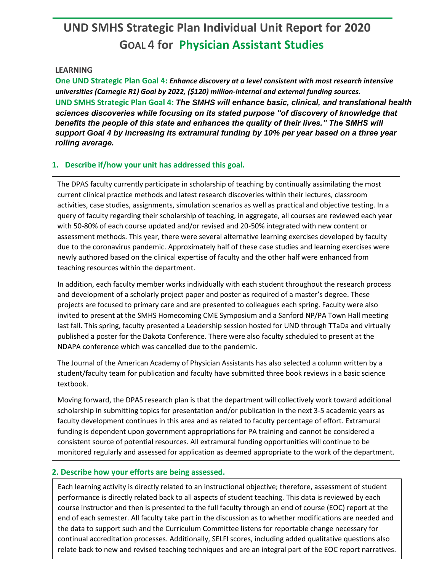# **UND SMHS Strategic Plan Individual Unit Report for 2020 GOAL 4 for Physician Assistant Studies**

#### **LEARNING**

**One UND Strategic Plan Goal 4:** *Enhance discovery at a level consistent with most research intensive universities (Carnegie R1) Goal by 2022, (\$120) million-internal and external funding sources.* **UND SMHS Strategic Plan Goal 4:** *The SMHS will enhance basic, clinical, and translational health sciences discoveries while focusing on its stated purpose "of discovery of knowledge that benefits the people of this state and enhances the quality of their lives." The SMHS will support Goal 4 by increasing its extramural funding by 10% per year based on a three year rolling average.*

### **1. Describe if/how your unit has addressed this goal.**

The DPAS faculty currently participate in scholarship of teaching by continually assimilating the most current clinical practice methods and latest research discoveries within their lectures, classroom activities, case studies, assignments, simulation scenarios as well as practical and objective testing. In a query of faculty regarding their scholarship of teaching, in aggregate, all courses are reviewed each year with 50-80% of each course updated and/or revised and 20-50% integrated with new content or assessment methods. This year, there were several alternative learning exercises developed by faculty due to the coronavirus pandemic. Approximately half of these case studies and learning exercises were newly authored based on the clinical expertise of faculty and the other half were enhanced from teaching resources within the department.

In addition, each faculty member works individually with each student throughout the research process and development of a scholarly project paper and poster as required of a master's degree. These projects are focused to primary care and are presented to colleagues each spring. Faculty were also invited to present at the SMHS Homecoming CME Symposium and a Sanford NP/PA Town Hall meeting last fall. This spring, faculty presented a Leadership session hosted for UND through TTaDa and virtually published a poster for the Dakota Conference. There were also faculty scheduled to present at the NDAPA conference which was cancelled due to the pandemic.

The Journal of the American Academy of Physician Assistants has also selected a column written by a student/faculty team for publication and faculty have submitted three book reviews in a basic science textbook.

Moving forward, the DPAS research plan is that the department will collectively work toward additional scholarship in submitting topics for presentation and/or publication in the next 3-5 academic years as faculty development continues in this area and as related to faculty percentage of effort. Extramural funding is dependent upon government appropriations for PA training and cannot be considered a consistent source of potential resources. All extramural funding opportunities will continue to be monitored regularly and assessed for application as deemed appropriate to the work of the department.

### **2. Describe how your efforts are being assessed.**

Each learning activity is directly related to an instructional objective; therefore, assessment of student performance is directly related back to all aspects of student teaching. This data is reviewed by each course instructor and then is presented to the full faculty through an end of course (EOC) report at the end of each semester. All faculty take part in the discussion as to whether modifications are needed and the data to support such and the Curriculum Committee listens for reportable change necessary for continual accreditation processes. Additionally, SELFI scores, including added qualitative questions also relate back to new and revised teaching techniques and are an integral part of the EOC report narratives.